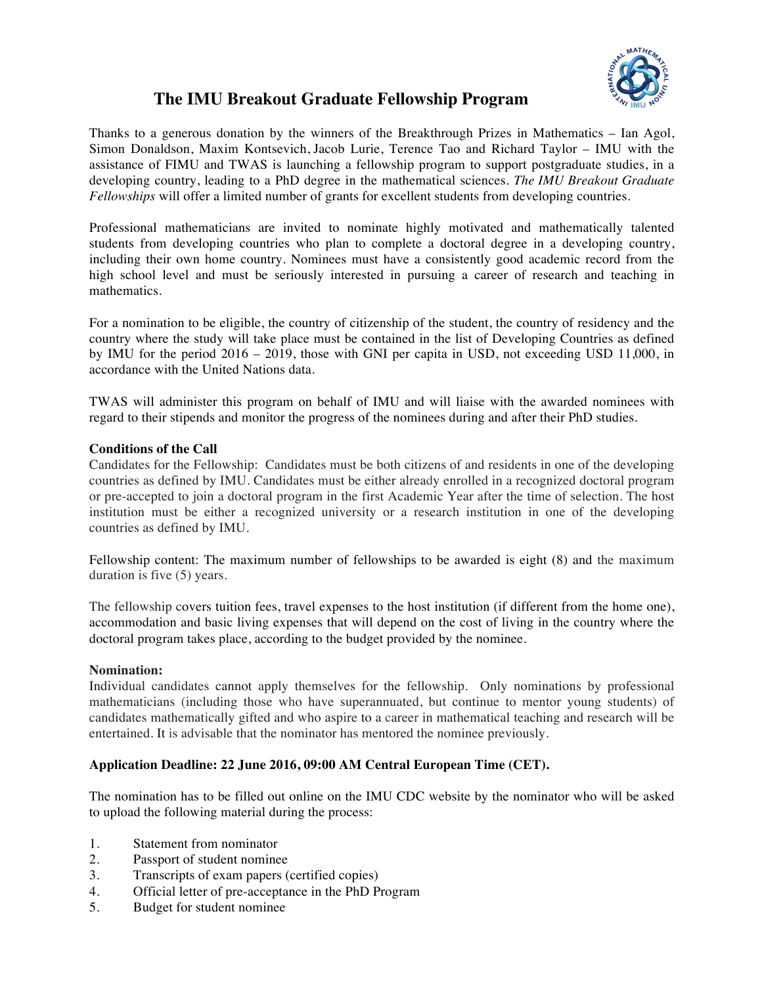

# **The IMU Breakout Graduate Fellowship Program**

Thanks to a generous donation by the winners of the Breakthrough Prizes in Mathematics – Ian Agol, Simon Donaldson, Maxim Kontsevich, Jacob Lurie, Terence Tao and Richard Taylor – IMU with the assistance of FIMU and TWAS is launching a fellowship program to support postgraduate studies, in a developing country, leading to a PhD degree in the mathematical sciences. *The IMU Breakout Graduate Fellowships* will offer a limited number of grants for excellent students from developing countries.

Professional mathematicians are invited to nominate highly motivated and mathematically talented students from developing countries who plan to complete a doctoral degree in a developing country, including their own home country. Nominees must have a consistently good academic record from the high school level and must be seriously interested in pursuing a career of research and teaching in mathematics.

For a nomination to be eligible, the country of citizenship of the student, the country of residency and the country where the study will take place must be contained in the list of Developing Countries as defined by IMU for the period 2016 – 2019, those with GNI per capita in USD, not exceeding USD 11,000, in accordance with the United Nations data.

TWAS will administer this program on behalf of IMU and will liaise with the awarded nominees with regard to their stipends and monitor the progress of the nominees during and after their PhD studies.

## **Conditions of the Call**

Candidates for the Fellowship: Candidates must be both citizens of and residents in one of the developing countries as defined by IMU. Candidates must be either already enrolled in a recognized doctoral program or pre-accepted to join a doctoral program in the first Academic Year after the time of selection. The host institution must be either a recognized university or a research institution in one of the developing countries as defined by IMU.

Fellowship content: The maximum number of fellowships to be awarded is eight (8) and the maximum duration is five (5) years.

The fellowship covers tuition fees, travel expenses to the host institution (if different from the home one), accommodation and basic living expenses that will depend on the cost of living in the country where the doctoral program takes place, according to the budget provided by the nominee.

#### **Nomination:**

Individual candidates cannot apply themselves for the fellowship. Only nominations by professional mathematicians (including those who have superannuated, but continue to mentor young students) of candidates mathematically gifted and who aspire to a career in mathematical teaching and research will be entertained. It is advisable that the nominator has mentored the nominee previously.

## **Application Deadline: 22 June 2016, 09:00 AM Central European Time (CET).**

The nomination has to be filled out online on the IMU CDC website by the nominator who will be asked to upload the following material during the process:

- 1. Statement from nominator
- 2. Passport of student nominee
- 3. Transcripts of exam papers (certified copies)
- 4. Official letter of pre-acceptance in the PhD Program
- 5. Budget for student nominee